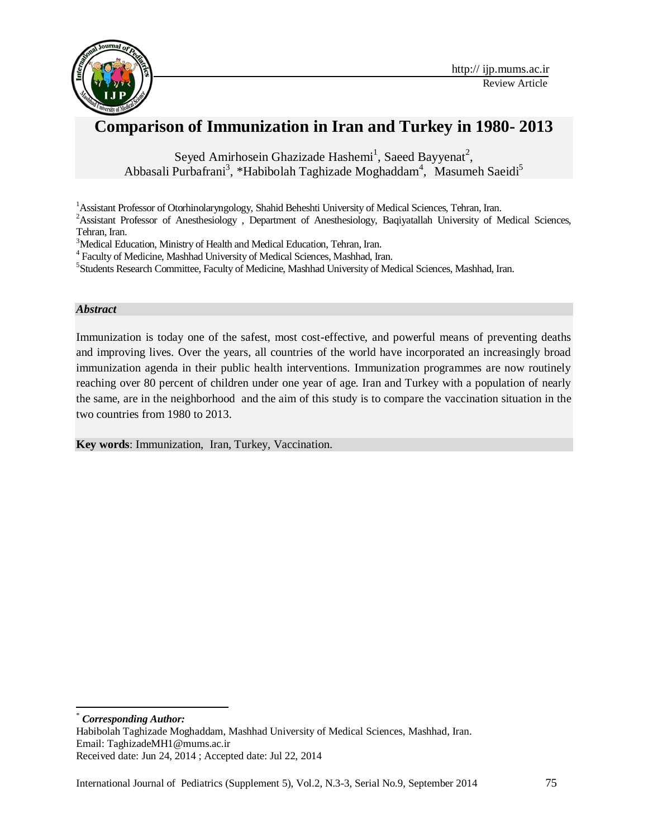

# **Comparison of Immunization in Iran and Turkey in 1980- 2013**

Seyed Amirhosein Ghazizade Hashemi<sup>1</sup>, Saeed Bayyenat<sup>2</sup>, Abbasali Purbafrani<sup>3</sup>, \*Habibolah Taghizade Moghaddam<sup>4</sup>, Masumeh Saeidi<sup>5</sup>

<sup>1</sup>Assistant Professor of Otorhinolaryngology, Shahid Beheshti University of Medical Sciences, Tehran, Iran.

<sup>2</sup>Assistant Professor of Anesthesiology, Department of Anesthesiology, Baqiyatallah University of Medical Sciences, Tehran, Iran.

<sup>3</sup>Medical Education, Ministry of Health and Medical Education, Tehran, Iran.

4 Faculty of Medicine, Mashhad University of Medical Sciences, Mashhad, Iran.

<sup>5</sup>Students Research Committee, Faculty of Medicine, Mashhad University of Medical Sciences, Mashhad, Iran.

#### *Abstract*

Immunization is today one of the safest, most cost-effective, and powerful means of preventing deaths and improving lives. Over the years, all countries of the world have incorporated an increasingly broad immunization agenda in their public health interventions. Immunization programmes are now routinely reaching over 80 percent of children under one year of age. Iran and Turkey with a population of nearly the same, are in the neighborhood and the aim of this study is to compare the vaccination situation in the two countries from 1980 to 2013.

**Key words**: Immunization, Iran, Turkey, Vaccination.

 $\overline{\phantom{a}}$  $Corresponding Author:$ 

Habibolah Taghizade Moghaddam, Mashhad University of Medical Sciences, Mashhad, Iran. Email: TaghizadeMH1@mums.ac.ir Received date: Jun 24, 2014 ; Accepted date: Jul 22, 2014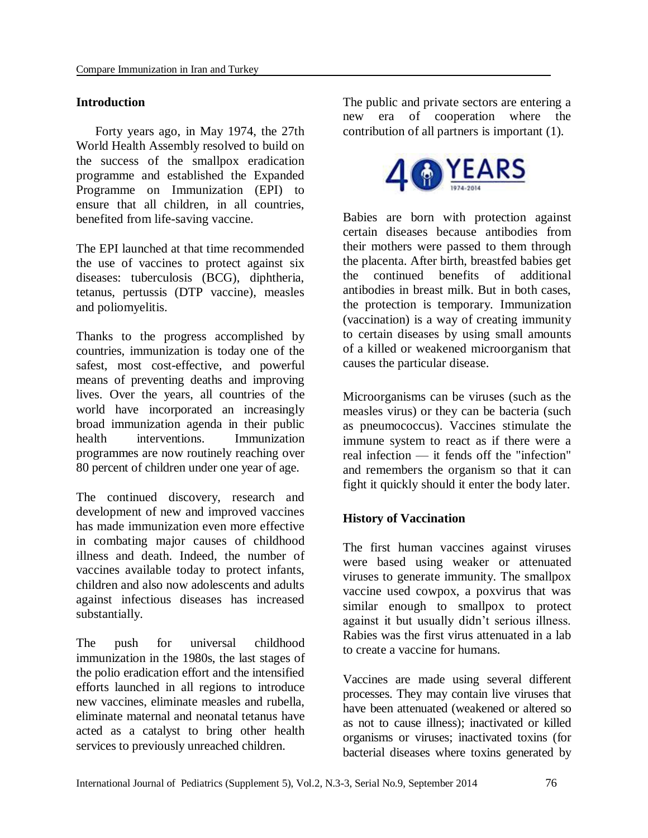# **Introduction**

 Forty years ago, in May 1974, the 27th World Health Assembly resolved to build on the success of the smallpox eradication programme and established the Expanded Programme on Immunization (EPI) to ensure that all children, in all countries, benefited from life-saving vaccine.

The EPI launched at that time recommended the use of vaccines to protect against six diseases: tuberculosis (BCG), diphtheria, tetanus, pertussis (DTP vaccine), measles and poliomyelitis.

Thanks to the progress accomplished by countries, immunization is today one of the safest, most cost-effective, and powerful means of preventing deaths and improving lives. Over the years, all countries of the world have incorporated an increasingly broad immunization agenda in their public health interventions. Immunization programmes are now routinely reaching over 80 percent of children under one year of age.

The continued discovery, research and development of new and improved vaccines has made immunization even more effective in combating major causes of childhood illness and death. Indeed, the number of vaccines available today to protect infants, children and also now adolescents and adults against infectious diseases has increased substantially.

The push for universal childhood immunization in the 1980s, the last stages of the polio eradication effort and the intensified efforts launched in all regions to introduce new vaccines, eliminate measles and rubella, eliminate maternal and neonatal tetanus have acted as a catalyst to bring other health services to previously unreached children.

The public and private sectors are entering a new era of cooperation where the contribution of all partners is important (1).



Babies are born with protection against certain diseases because antibodies from their mothers were passed to them through the placenta. After birth, [breastfed](http://kidshealth.org/parent/growth/feeding/breastfeed_often.html) babies get the continued benefits of additional antibodies in breast milk. But in both cases, the protection is temporary. Immunization (vaccination) is a way of creating immunity to certain diseases by using small amounts of a killed or weakened microorganism that causes the particular disease.

Microorganisms can be viruses (such as the measles virus) or they can be bacteria (such as pneumococcus). Vaccines stimulate the immune system to react as if there were a real infection — it fends off the "infection" and remembers the organism so that it can fight it quickly should it enter the body later.

# **History of Vaccination**

The first human vaccines against viruses were based using weaker or attenuated viruses to generate immunity. The smallpox vaccine used cowpox, a poxvirus that was similar enough to smallpox to protect against it but usually didn't serious illness. Rabies was the first virus attenuated in a lab to create a vaccine for humans.

Vaccines are made using several different processes. They may contain live viruses that have been attenuated (weakened or altered so as not to cause illness); inactivated or killed organisms or viruses; inactivated toxins (for bacterial diseases where toxins generated by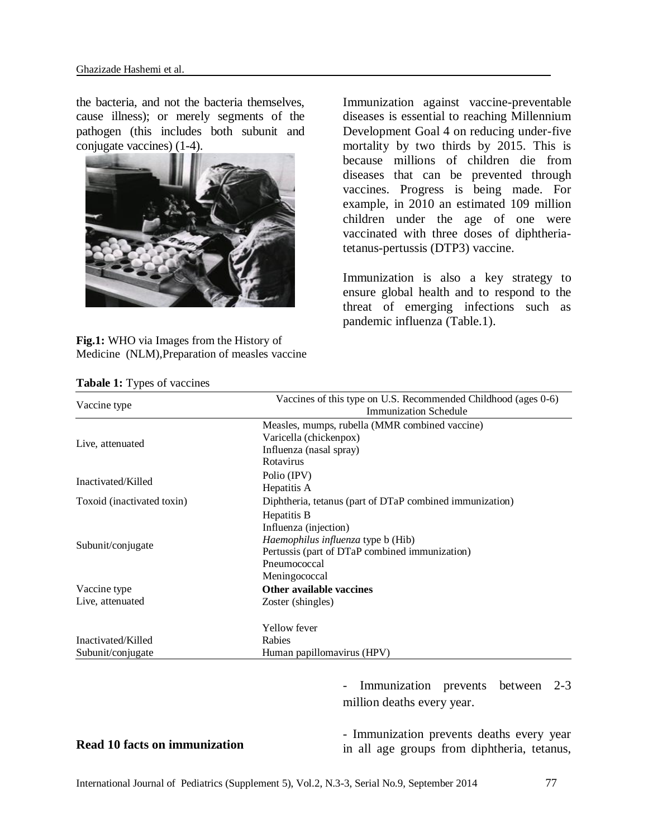the bacteria, and not the bacteria themselves, cause illness); or merely segments of the pathogen (this includes both subunit and conjugate vaccines) (1-4).



**Fig.1:** WHO via Images from the History of Medicine (NLM),Preparation of measles vaccine

Immunization against vaccine-preventable diseases is essential to reaching Millennium Development Goal 4 on reducing under-five mortality by two thirds by 2015. This is because millions of children die from diseases that can be prevented through vaccines. Progress is being made. For example, in 2010 an estimated 109 million children under the age of one were vaccinated with three doses of diphtheriatetanus-pertussis (DTP3) vaccine.

Immunization is also a key strategy to ensure global health and to respond to the threat of emerging infections such as pandemic influenza (Table.1).

|                            | Vaccines of this type on U.S. Recommended Childhood (ages 0-6) |
|----------------------------|----------------------------------------------------------------|
| Vaccine type               | <b>Immunization Schedule</b>                                   |
|                            | Measles, mumps, rubella (MMR combined vaccine)                 |
| Live, attenuated           | Varicella (chickenpox)                                         |
|                            | Influenza (nasal spray)                                        |
|                            | Rotavirus                                                      |
| Inactivated/Killed         | Polio (IPV)                                                    |
|                            | Hepatitis A                                                    |
| Toxoid (inactivated toxin) | Diphtheria, tetanus (part of DTaP combined immunization)       |
|                            | Hepatitis B                                                    |
|                            | Influenza (injection)                                          |
| Subunit/conjugate          | Haemophilus influenza type b (Hib)                             |
|                            | Pertussis (part of DTaP combined immunization)                 |
|                            | Pneumococcal                                                   |
|                            | Meningococcal                                                  |
| Vaccine type               | <b>Other available vaccines</b>                                |
| Live, attenuated           | Zoster (shingles)                                              |
|                            | Yellow fever                                                   |
| Inactivated/Killed         | Rabies                                                         |
| Subunit/conjugate          | Human papillomavirus (HPV)                                     |

**Tabale 1:** Types of vaccines

**[Read 10 facts on immunization](http://www.who.int/features/factfiles/immunization/en/)**

*-* Immunization prevents between 2-3 million deaths every year.

- Immunization prevents deaths every year in all age groups from diphtheria, tetanus,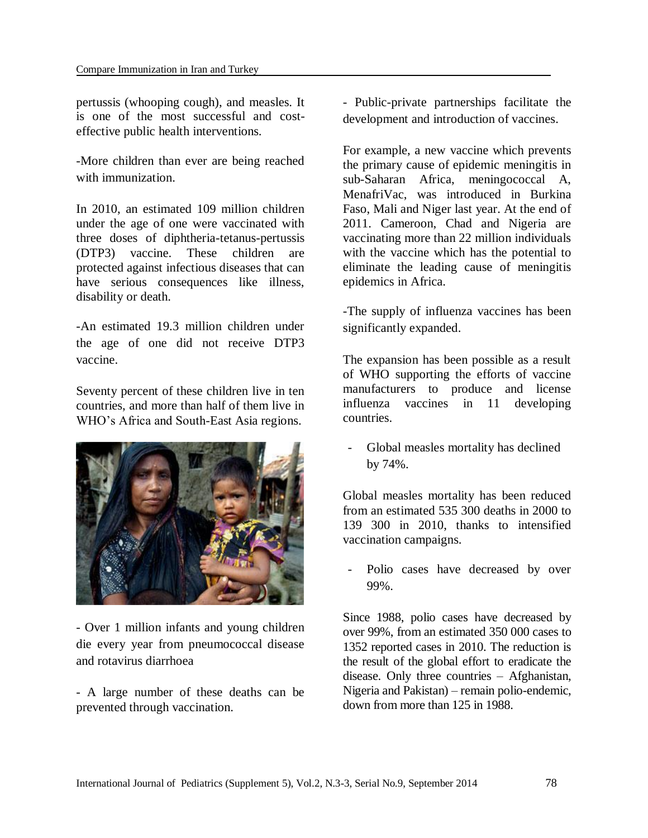pertussis (whooping cough), and measles. It is one of the most successful and costeffective public health interventions.

-More children than ever are being reached with immunization.

In 2010, an estimated 109 million children under the age of one were vaccinated with three doses of diphtheria-tetanus-pertussis (DTP3) vaccine. These children are protected against infectious diseases that can have serious consequences like illness, disability or death.

-An estimated 19.3 million children under the age of one did not receive DTP3 vaccine.

Seventy percent of these children live in ten countries, and more than half of them live in WHO's Africa and South-East Asia regions.



- Over 1 million infants and young children die every year from pneumococcal disease and rotavirus diarrhoea

- A large number of these deaths can be prevented through vaccination.

- Public-private partnerships facilitate the development and introduction of vaccines.

For example, a new vaccine which prevents the primary cause of epidemic meningitis in sub-Saharan Africa, meningococcal A, MenafriVac, was introduced in Burkina Faso, Mali and Niger last year. At the end of 2011. Cameroon, Chad and Nigeria are vaccinating more than 22 million individuals with the vaccine which has the potential to eliminate the leading cause of meningitis epidemics in Africa.

-The supply of influenza vaccines has been significantly expanded.

The expansion has been possible as a result of WHO supporting the efforts of vaccine manufacturers to produce and license influenza vaccines in 11 developing countries.

- Global measles mortality has declined by 74%.

Global measles mortality has been reduced from an estimated 535 300 deaths in 2000 to 139 300 in 2010, thanks to intensified vaccination campaigns.

Polio cases have decreased by over 99%.

Since 1988, polio cases have decreased by over 99%, from an estimated 350 000 cases to 1352 reported cases in 2010. The reduction is the result of the global effort to eradicate the disease. Only three countries – Afghanistan, Nigeria and Pakistan) – remain polio-endemic, down from more than 125 in 1988.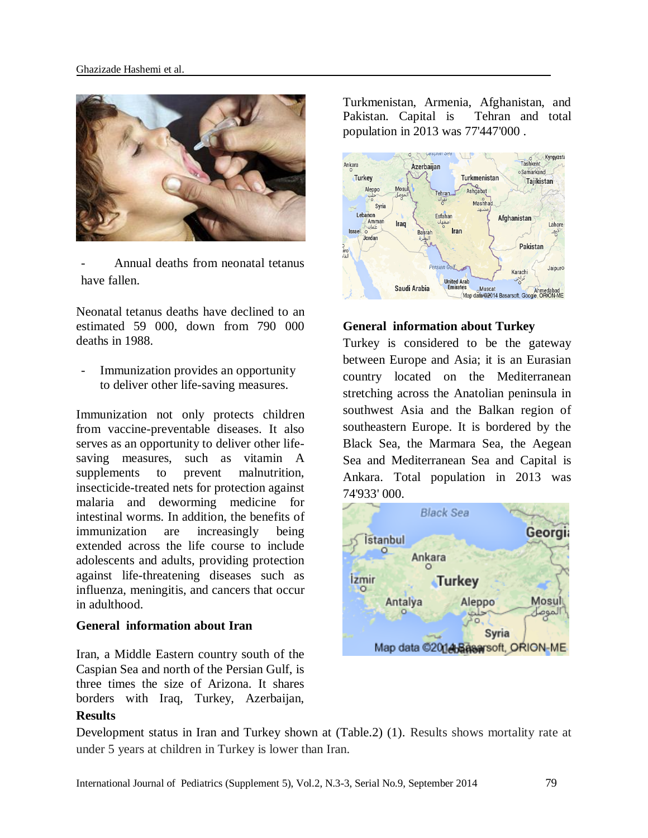

Annual deaths from neonatal tetanus have fallen.

Neonatal tetanus deaths have declined to an estimated 59 000, down from 790 000 deaths in 1988.

Immunization provides an opportunity to deliver other life-saving measures.

Immunization not only protects children from vaccine-preventable diseases. It also serves as an opportunity to deliver other lifesaving measures, such as vitamin A supplements to prevent malnutrition, insecticide-treated nets for protection against malaria and deworming medicine for intestinal worms. In addition, the benefits of immunization are increasingly being extended across the life course to include adolescents and adults, providing protection against life-threatening diseases such as influenza, meningitis, and cancers that occur in adulthood.

### **General information about Iran**

Iran, a Middle Eastern country south of the Caspian Sea and north of the Persian Gulf, is three times the size of Arizona. It shares borders with Iraq, Turkey, Azerbaijan,

### **Results**

Turkmenistan, Armenia, Afghanistan, and Pakistan. Capital is Tehran and total population in 2013 was 77'447'000 .



#### **General information about Turkey**

Turkey is considered to be the gateway between Europe and Asia; it is an Eurasian country located on the Mediterranean stretching across the Anatolian peninsula in southwest Asia and the Balkan region of southeastern Europe. It is bordered by the Black Sea, the Marmara Sea, the Aegean Sea and Mediterranean Sea and Capital is Ankara. Total population in 2013 was 74'933' 000.



Development status in Iran and Turkey shown at (Table.2) (1). Results shows mortality rate at under 5 years at children in Turkey is lower than Iran.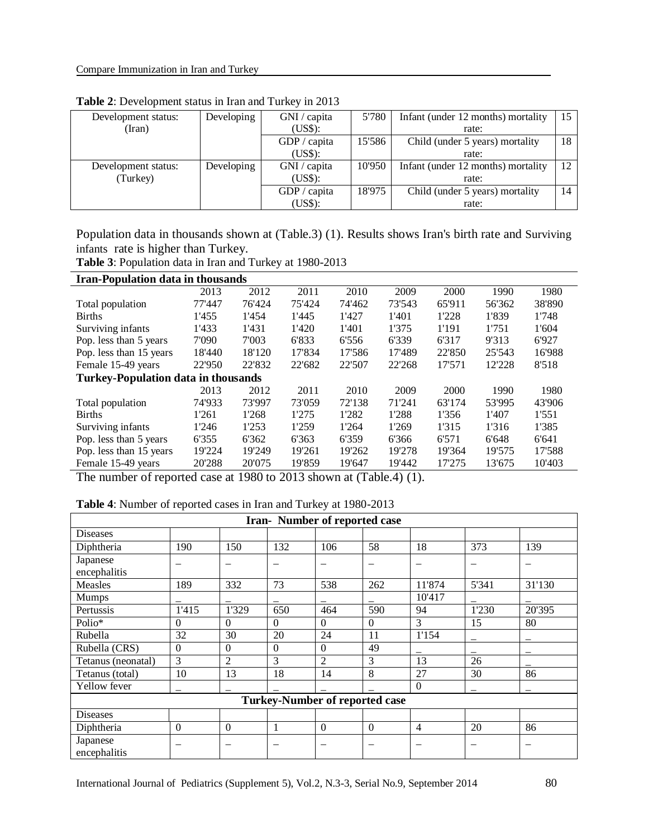| Development status: | Developing | GNI / capita | 5'780  | Infant (under 12 months) mortality |    |
|---------------------|------------|--------------|--------|------------------------------------|----|
| (Iran)              |            | (US\$):      |        | rate:                              |    |
|                     |            | GDP / capita | 15'586 | Child (under 5 years) mortality    | 18 |
|                     |            | (US\$):      |        | rate:                              |    |
| Development status: | Developing | GNI / capita | 10'950 | Infant (under 12 months) mortality | 12 |
| (Turkey)            |            | (US\$):      |        | rate:                              |    |
|                     |            | GDP / capita | 18'975 | Child (under 5 years) mortality    | 14 |
|                     |            | (US\$):      |        | rate:                              |    |

**Table 2**: Development status in Iran and Turkey in 2013

Population data in thousands shown at (Table.3) (1). Results shows Iran's birth rate and Surviving infants rate is higher than Turkey.

**Table 3**: Population data in Iran and Turkey at 1980-2013

| <b>Iran-Population data in thousands</b> |                                            |        |        |        |        |        |        |        |  |  |  |  |
|------------------------------------------|--------------------------------------------|--------|--------|--------|--------|--------|--------|--------|--|--|--|--|
|                                          | 2013                                       | 2012   | 2011   | 2010   | 2009   | 2000   | 1990   | 1980   |  |  |  |  |
| Total population                         | 77'447                                     | 76'424 | 75'424 | 74'462 | 73'543 | 65'911 | 56'362 | 38'890 |  |  |  |  |
| <b>Births</b>                            | 1'455                                      | 1'454  | 1'445  | 1'427  | 1'401  | 1'228  | 1'839  | 1'748  |  |  |  |  |
| Surviving infants                        | 1'433                                      | 1'431  | 1'420  | 1'401  | 1'375  | 1'191  | 1'751  | 1'604  |  |  |  |  |
| Pop. less than 5 years                   | 7'090                                      | 7'003  | 6'833  | 6'556  | 6'339  | 6'317  | 9'313  | 6'927  |  |  |  |  |
| Pop. less than 15 years                  | 18'440                                     | 18'120 | 17'834 | 17'586 | 17'489 | 22'850 | 25'543 | 16'988 |  |  |  |  |
| Female 15-49 years                       | 22'950                                     | 22'832 | 22'682 | 22'507 | 22'268 | 17'571 | 12'228 | 8'518  |  |  |  |  |
|                                          | <b>Turkey-Population data in thousands</b> |        |        |        |        |        |        |        |  |  |  |  |
|                                          | 2013                                       | 2012   | 2011   | 2010   | 2009   | 2000   | 1990   | 1980   |  |  |  |  |
| Total population                         | 74'933                                     | 73'997 | 73'059 | 72'138 | 71'241 | 63'174 | 53'995 | 43'906 |  |  |  |  |
| <b>Births</b>                            | 1'261                                      | 1'268  | 1'275  | 1'282  | 1'288  | 1'356  | 1'407  | 1'551  |  |  |  |  |
| Surviving infants                        | 1'246                                      | 1'253  | 1'259  | 1'264  | 1'269  | 1'315  | 1'316  | 1'385  |  |  |  |  |
| Pop. less than 5 years                   | 6'355                                      | 6'362  | 6'363  | 6'359  | 6'366  | 6'571  | 6'648  | 6'641  |  |  |  |  |
| Pop. less than 15 years                  | 19'224                                     | 19'249 | 19'261 | 19'262 | 19'278 | 19'364 | 19'575 | 17'588 |  |  |  |  |
| Female 15-49 years                       | 20'288                                     | 20'075 | 19'859 | 19'647 | 19'442 | 17'275 | 13'675 | 10'403 |  |  |  |  |

The number of reported case at 1980 to 2013 shown at (Table.4) (1).

| <b>Table 4:</b> Number of reported cases in Iran and Turkey at 1980-2013 |  |  |
|--------------------------------------------------------------------------|--|--|
|                                                                          |  |  |

| Iran-Number of reported case          |                          |                |                          |                |                          |                          |                          |                          |  |  |  |
|---------------------------------------|--------------------------|----------------|--------------------------|----------------|--------------------------|--------------------------|--------------------------|--------------------------|--|--|--|
| <b>Diseases</b>                       |                          |                |                          |                |                          |                          |                          |                          |  |  |  |
| Diphtheria                            | 190                      | 150            | 132                      | 106            | 58                       | 18                       | 373                      | 139                      |  |  |  |
| Japanese                              | $\overline{\phantom{0}}$ | -              | $\overline{\phantom{0}}$ | -              | $\overline{\phantom{0}}$ | $\overline{\phantom{0}}$ | $\overline{\phantom{0}}$ | $\overline{\phantom{0}}$ |  |  |  |
| encephalitis                          |                          |                |                          |                |                          |                          |                          |                          |  |  |  |
| <b>Measles</b>                        | 189                      | 332            | 73                       | 538            | 262                      | 11'874                   | 5'341                    | 31'130                   |  |  |  |
| <b>Mumps</b>                          |                          |                | —                        |                |                          | 10'417                   |                          |                          |  |  |  |
| Pertussis                             | 1'415                    | 1'329          | 650                      | 464            | 590                      | 94                       | 1'230                    | 20'395                   |  |  |  |
| Polio*                                | $\Omega$                 | $\Omega$       | $\Omega$                 | $\Omega$       | $\Omega$                 | 3                        | 15                       | 80                       |  |  |  |
| Rubella                               | 32                       | 30             | 20                       | 24             | 11                       | 1'154                    |                          |                          |  |  |  |
| Rubella (CRS)                         | $\Omega$                 | $\Omega$       | $\Omega$                 | $\Omega$       | 49                       |                          |                          |                          |  |  |  |
| Tetanus (neonatal)                    | 3                        | $\overline{2}$ | 3                        | $\overline{2}$ | 3                        | 13                       | 26                       |                          |  |  |  |
| Tetanus (total)                       | 10                       | 13             | 18                       | 14             | 8                        | 27                       | 30                       | 86                       |  |  |  |
| Yellow fever                          |                          |                |                          |                |                          | $\Omega$                 |                          |                          |  |  |  |
| <b>Turkey-Number of reported case</b> |                          |                |                          |                |                          |                          |                          |                          |  |  |  |
| <b>Diseases</b>                       |                          |                |                          |                |                          |                          |                          |                          |  |  |  |
| Diphtheria                            | $\Omega$                 | $\Omega$       | 1                        | $\Omega$       | $\Omega$                 | 4                        | 20                       | 86                       |  |  |  |
| Japanese<br>encephalitis              | $\overline{\phantom{m}}$ | -              | $\overline{\phantom{m}}$ | -              | $\overline{\phantom{m}}$ | —                        | $\overline{\phantom{m}}$ | $\overline{\phantom{m}}$ |  |  |  |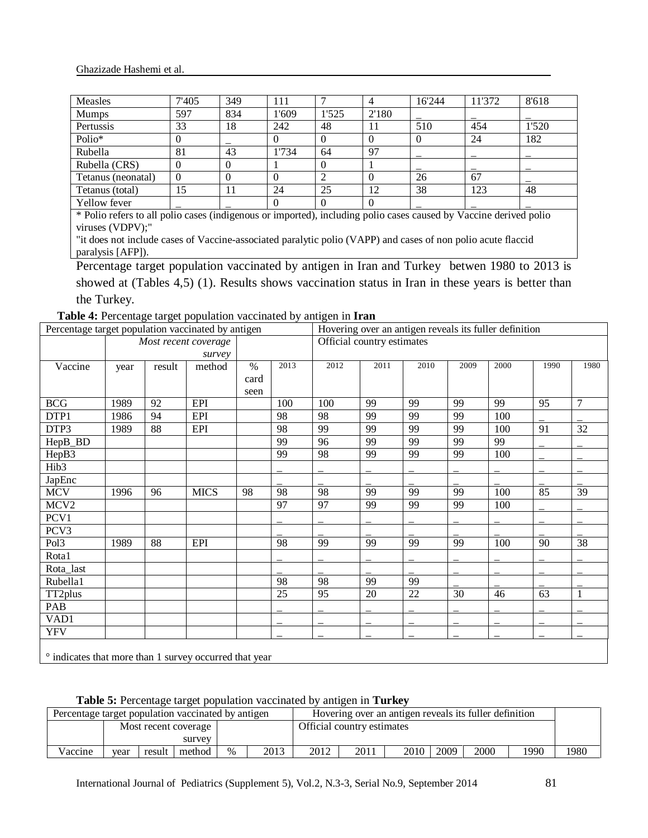| <b>Measles</b>                                                                                                    | 7'405 | 349 | -11   |       |          | 16'244 | 11'372 | 8'618 |
|-------------------------------------------------------------------------------------------------------------------|-------|-----|-------|-------|----------|--------|--------|-------|
| <b>Mumps</b>                                                                                                      | 597   | 834 | l'609 | 1'525 | 2'180    |        |        |       |
| Pertussis                                                                                                         | 33    | 18  | 242   | 48    |          | 510    | 454    | 1'520 |
| Polio*                                                                                                            |       |     |       |       | $\Omega$ |        | 24     | 182   |
| Rubella                                                                                                           | 81    | 43  | l'734 | 64    | 97       |        |        |       |
| Rubella (CRS)                                                                                                     |       |     |       |       |          |        |        |       |
| Tetanus (neonatal)                                                                                                | 0     |     |       |       |          | 26     | 67     |       |
| Tetanus (total)                                                                                                   | 15    | 11  | 24    | 25    | 12       | 38     | 123    | 48    |
| Yellow fever                                                                                                      |       |     |       |       | $\Omega$ |        |        |       |
| * Polio refers to all polio cases (indigenous or imported), including polio cases caused by Vaccine derived polio |       |     |       |       |          |        |        |       |

(indigenous or imported), including polio cases caused by Vaccine derived p viruses (VDPV);"

"it does not include cases of Vaccine-associated paralytic polio (VAPP) and cases of non polio acute flaccid paralysis [AFP]).

Percentage target population vaccinated by antigen in Iran and Turkey betwen 1980 to 2013 is showed at (Tables 4,5) (1). Results shows vaccination status in Iran in these years is better than the Turkey.

**Table 4:** Percentage target population vaccinated by antigen in **Iran**

|                                                        | Percentage target population vaccinated by antigen |        |                      |      |      | Hovering over an antigen reveals its fuller definition |                            |      |      |      |      |                 |
|--------------------------------------------------------|----------------------------------------------------|--------|----------------------|------|------|--------------------------------------------------------|----------------------------|------|------|------|------|-----------------|
|                                                        |                                                    |        | Most recent coverage |      |      |                                                        | Official country estimates |      |      |      |      |                 |
|                                                        |                                                    |        | survey               |      |      |                                                        |                            |      |      |      |      |                 |
| Vaccine                                                | year                                               | result | method               | $\%$ | 2013 | 2012                                                   | 2011                       | 2010 | 2009 | 2000 | 1990 | 1980            |
|                                                        |                                                    |        |                      | card |      |                                                        |                            |      |      |      |      |                 |
|                                                        |                                                    |        |                      | seen |      |                                                        |                            |      |      |      |      |                 |
| <b>BCG</b>                                             | 1989                                               | 92     | <b>EPI</b>           |      | 100  | 100                                                    | 99                         | 99   | 99   | 99   | 95   | $\overline{7}$  |
| DTP1                                                   | 1986                                               | 94     | EPI                  |      | 98   | 98                                                     | 99                         | 99   | 99   | 100  |      |                 |
| DTP3                                                   | 1989                                               | 88     | EPI                  |      | 98   | 99                                                     | 99                         | 99   | 99   | 100  | 91   | $\overline{32}$ |
| HepB_BD                                                |                                                    |        |                      |      | 99   | 96                                                     | 99                         | 99   | 99   | 99   |      |                 |
| HepB3                                                  |                                                    |        |                      |      | 99   | 98                                                     | 99                         | 99   | 99   | 100  |      |                 |
| Hib <sub>3</sub>                                       |                                                    |        |                      |      |      |                                                        |                            |      |      |      |      |                 |
| JapEnc                                                 |                                                    |        |                      |      |      |                                                        |                            |      |      |      |      |                 |
| <b>MCV</b>                                             | 1996                                               | 96     | <b>MICS</b>          | 98   | 98   | 98                                                     | 99                         | 99   | 99   | 100  | 85   | 39              |
| MCV <sub>2</sub>                                       |                                                    |        |                      |      | 97   | 97                                                     | 99                         | 99   | 99   | 100  |      |                 |
| PCV1                                                   |                                                    |        |                      |      |      |                                                        |                            |      |      |      |      |                 |
| PCV3                                                   |                                                    |        |                      |      |      |                                                        |                            |      |      |      |      |                 |
| Pol <sub>3</sub>                                       | 1989                                               | 88     | EPI                  |      | 98   | 99                                                     | 99                         | 99   | 99   | 100  | 90   | 38              |
| Rota1                                                  |                                                    |        |                      |      |      |                                                        |                            |      |      |      |      |                 |
| Rota_last                                              |                                                    |        |                      |      |      |                                                        |                            |      |      |      |      |                 |
| Rubella1                                               |                                                    |        |                      |      | 98   | $\overline{98}$                                        | 99                         | 99   |      |      |      |                 |
| TT2plus                                                |                                                    |        |                      |      | 25   | 95                                                     | 20                         | 22   | 30   | 46   | 63   | 1               |
| PAB                                                    |                                                    |        |                      |      |      |                                                        |                            |      |      |      |      |                 |
| VAD1                                                   |                                                    |        |                      |      |      |                                                        |                            |      |      |      |      |                 |
| <b>YFV</b>                                             |                                                    |        |                      |      |      |                                                        |                            |      |      |      |      |                 |
|                                                        |                                                    |        |                      |      |      |                                                        |                            |      |      |      |      |                 |
| • indicates that more than 1 survey occurred that year |                                                    |        |                      |      |      |                                                        |                            |      |      |      |      |                 |

**Table 5:** Percentage target population vaccinated by antigen in **Turkey**

|         | Percentage target population vaccinated by antigen |        |        |      |                                                        |                            |      |      |      |      |      |      |
|---------|----------------------------------------------------|--------|--------|------|--------------------------------------------------------|----------------------------|------|------|------|------|------|------|
|         |                                                    |        |        |      | Hovering over an antigen reveals its fuller definition |                            |      |      |      |      |      |      |
|         | Most recent coverage                               |        |        |      |                                                        | Official country estimates |      |      |      |      |      |      |
|         | survey                                             |        |        |      |                                                        |                            |      |      |      |      |      |      |
| Vaccine | vear                                               | result | method | $\%$ | 2013                                                   | 2012                       | 2011 | 2010 | 2009 | 2000 | 1990 | 1980 |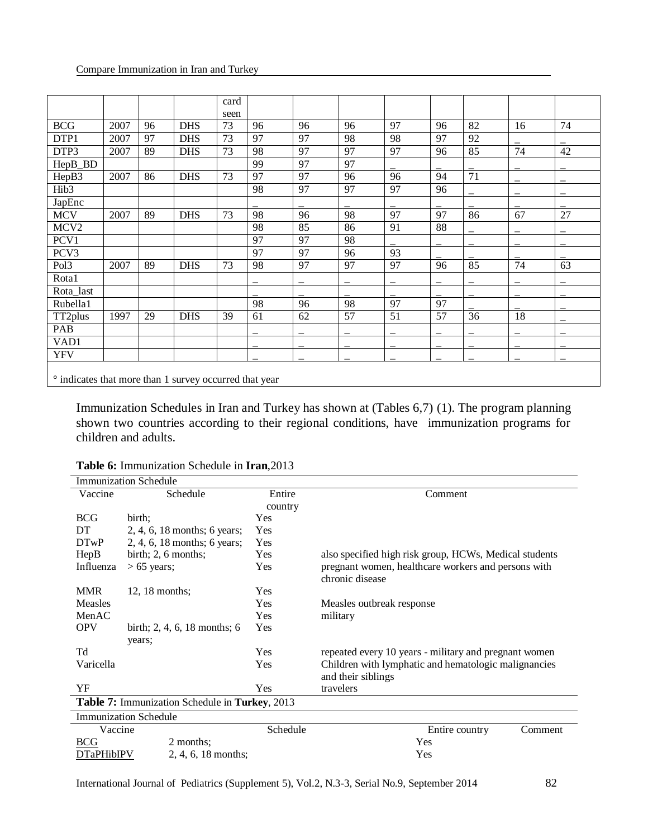|                  |                                                        |    |            | card |    |    |    |    |    |                 |    |    |
|------------------|--------------------------------------------------------|----|------------|------|----|----|----|----|----|-----------------|----|----|
|                  |                                                        |    |            | seen |    |    |    |    |    |                 |    |    |
| <b>BCG</b>       | 2007                                                   | 96 | <b>DHS</b> | 73   | 96 | 96 | 96 | 97 | 96 | 82              | 16 | 74 |
| DTP1             | 2007                                                   | 97 | <b>DHS</b> | 73   | 97 | 97 | 98 | 98 | 97 | 92              |    |    |
| DTP3             | 2007                                                   | 89 | <b>DHS</b> | 73   | 98 | 97 | 97 | 97 | 96 | 85              | 74 | 42 |
| HepB_BD          |                                                        |    |            |      | 99 | 97 | 97 |    |    |                 |    |    |
| HepB3            | 2007                                                   | 86 | <b>DHS</b> | 73   | 97 | 97 | 96 | 96 | 94 | $\overline{71}$ |    |    |
| Hib <sub>3</sub> |                                                        |    |            |      | 98 | 97 | 97 | 97 | 96 |                 |    |    |
| JapEnc           |                                                        |    |            |      |    |    |    |    |    |                 |    |    |
| <b>MCV</b>       | 2007                                                   | 89 | <b>DHS</b> | 73   | 98 | 96 | 98 | 97 | 97 | 86              | 67 | 27 |
| MCV <sub>2</sub> |                                                        |    |            |      | 98 | 85 | 86 | 91 | 88 |                 |    |    |
| PCV1             |                                                        |    |            |      | 97 | 97 | 98 |    |    |                 |    |    |
| PCV3             |                                                        |    |            |      | 97 | 97 | 96 | 93 |    |                 |    |    |
| Pol <sub>3</sub> | 2007                                                   | 89 | <b>DHS</b> | 73   | 98 | 97 | 97 | 97 | 96 | 85              | 74 | 63 |
| Rota1            |                                                        |    |            |      |    |    |    |    |    |                 |    |    |
| Rota_last        |                                                        |    |            |      |    |    |    |    |    |                 |    |    |
| Rubella1         |                                                        |    |            |      | 98 | 96 | 98 | 97 | 97 |                 |    |    |
| TT2plus          | 1997                                                   | 29 | <b>DHS</b> | 39   | 61 | 62 | 57 | 51 | 57 | 36              | 18 |    |
| PAB              |                                                        |    |            |      |    |    |    |    |    |                 |    |    |
| VAD1             |                                                        |    |            |      |    |    |    |    |    |                 |    |    |
| <b>YFV</b>       |                                                        |    |            |      |    |    |    |    |    |                 |    |    |
|                  | • indicates that more than 1 survey occurred that year |    |            |      |    |    |    |    |    |                 |    |    |

[Immunization Schedules](http://apps.who.int/immunization_monitoring/globalsummary/schedules) in Iran and Turkey has shown at (Tables 6,7) (1). The program planning shown two countries according to their regional conditions, have immunization programs for children and adults.

|                   | <b>Immunization Schedule</b>                                  |          |                                                                            |
|-------------------|---------------------------------------------------------------|----------|----------------------------------------------------------------------------|
| Vaccine           | Schedule                                                      | Entire   | Comment                                                                    |
|                   |                                                               | country  |                                                                            |
| <b>BCG</b>        | birth;                                                        | Yes      |                                                                            |
| DT                | 2, 4, 6, 18 months; 6 years;                                  | Yes      |                                                                            |
| DTwP              | 2, 4, 6, 18 months; 6 years;                                  | Yes      |                                                                            |
| HepB              | birth; $2, 6$ months;                                         | Yes      | also specified high risk group, HCWs, Medical students                     |
| Influenza         | $> 65$ years;                                                 | Yes      | pregnant women, healthcare workers and persons with<br>chronic disease     |
| <b>MMR</b>        | $12, 18$ months;                                              | Yes      |                                                                            |
| <b>Measles</b>    |                                                               | Yes      | Measles outbreak response                                                  |
| MenAC             |                                                               | Yes      | military                                                                   |
| <b>OPV</b>        | birth; 2, 4, 6, 18 months; 6                                  | Yes      |                                                                            |
|                   | years;                                                        |          |                                                                            |
| Td                |                                                               | Yes      | repeated every 10 years - military and pregnant women                      |
| Varicella         |                                                               | Yes      | Children with lymphatic and hematologic malignancies<br>and their siblings |
| YF                |                                                               | Yes      | travelers                                                                  |
|                   | <b>Table 7:</b> Immunization Schedule in <b>Turkey</b> , 2013 |          |                                                                            |
|                   | <b>Immunization Schedule</b>                                  |          |                                                                            |
| Vaccine           |                                                               | Schedule | Entire country<br>Comment                                                  |
| <b>BCG</b>        | 2 months;                                                     |          | Yes                                                                        |
| <b>DTaPHibIPV</b> | $2, 4, 6, 18$ months;                                         |          | Yes                                                                        |

**Table 6:** [Immunization Schedule](http://apps.who.int/immunization_monitoring/globalsummary/schedules) in **Iran**,2013